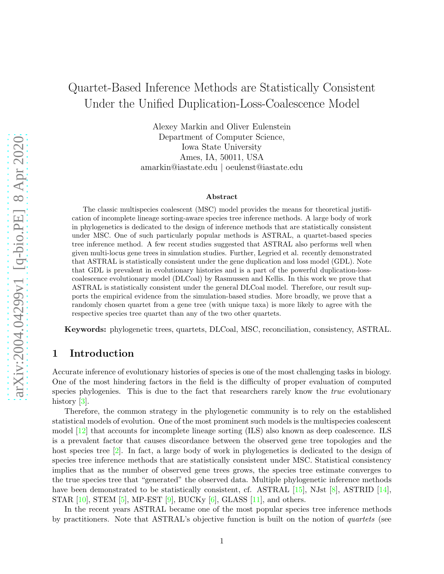# Quartet-Based Inference Methods are Statistically Consistent Under the Unified Duplication-Loss-Coalescence Model

Alexey Markin and Oliver Eulenstein Department of Computer Science, Iowa State University Ames, IA, 50011, USA amarkin@iastate.edu | oeulenst@iastate.edu

#### Abstract

The classic multispecies coalescent (MSC) model provides the means for theoretical justification of incomplete lineage sorting-aware species tree inference methods. A large body of work in phylogenetics is dedicated to the design of inference methods that are statistically consistent under MSC. One of such particularly popular methods is ASTRAL, a quartet-based species tree inference method. A few recent studies suggested that ASTRAL also performs well when given multi-locus gene trees in simulation studies. Further, Legried et al. recently demonstrated that ASTRAL is statistically consistent under the gene duplication and loss model (GDL). Note that GDL is prevalent in evolutionary histories and is a part of the powerful duplication-losscoalescence evolutionary model (DLCoal) by Rasmussen and Kellis. In this work we prove that ASTRAL is statistically consistent under the general DLCoal model. Therefore, our result supports the empirical evidence from the simulation-based studies. More broadly, we prove that a randomly chosen quartet from a gene tree (with unique taxa) is more likely to agree with the respective species tree quartet than any of the two other quartets.

Keywords: phylogenetic trees, quartets, DLCoal, MSC, reconciliation, consistency, ASTRAL.

## 1 Introduction

Accurate inference of evolutionary histories of species is one of the most challenging tasks in biology. One of the most hindering factors in the field is the difficulty of proper evaluation of computed species phylogenies. This is due to the fact that researchers rarely know the *true* evolutionary history [\[3\]](#page-14-0).

Therefore, the common strategy in the phylogenetic community is to rely on the established statistical models of evolution. One of the most prominent such models is the multispecies coalescent model [\[12\]](#page-14-1) that accounts for incomplete lineage sorting (ILS) also known as deep coalescence. ILS is a prevalent factor that causes discordance between the observed gene tree topologies and the host species tree [\[2\]](#page-14-2). In fact, a large body of work in phylogenetics is dedicated to the design of species tree inference methods that are statistically consistent under MSC. Statistical consistency implies that as the number of observed gene trees grows, the species tree estimate converges to the true species tree that "generated" the observed data. Multiple phylogenetic inference methods have been demonstrated to be statistically consistent, cf. ASTRAL [\[15\]](#page-15-0), NJst [\[8\]](#page-14-3), ASTRID [\[14\]](#page-15-1), STAR [\[10\]](#page-14-4), STEM [\[5\]](#page-14-5), MP-EST [\[9\]](#page-14-6), BUCKy [\[6\]](#page-14-7), GLASS [\[11\]](#page-14-8), and others.

In the recent years ASTRAL became one of the most popular species tree inference methods by practitioners. Note that ASTRAL's objective function is built on the notion of *quartets* (see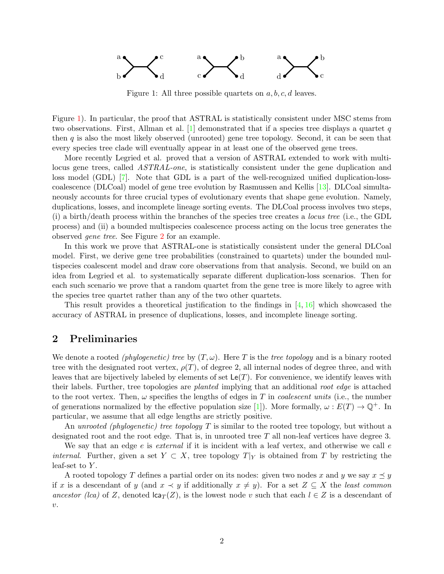<span id="page-1-0"></span>

Figure 1: All three possible quartets on  $a, b, c, d$  leaves.

Figure [1\)](#page-1-0). In particular, the proof that ASTRAL is statistically consistent under MSC stems from two observations. First, Allman et al.  $[1]$  demonstrated that if a species tree displays a quartet q then q is also the most likely observed (unrooted) gene tree topology. Second, it can be seen that every species tree clade will eventually appear in at least one of the observed gene trees.

More recently Legried et al. proved that a version of ASTRAL extended to work with multilocus gene trees, called *ASTRAL-one*, is statistically consistent under the gene duplication and loss model (GDL) [\[7\]](#page-14-10). Note that GDL is a part of the well-recognized unified duplication-losscoalescence (DLCoal) model of gene tree evolution by Rasmussen and Kellis [\[13\]](#page-14-11). DLCoal simultaneously accounts for three crucial types of evolutionary events that shape gene evolution. Namely, duplications, losses, and incomplete lineage sorting events. The DLCoal process involves two steps, (i) a birth/death process within the branches of the species tree creates a *locus tree* (i.e., the GDL process) and (ii) a bounded multispecies coalescence process acting on the locus tree generates the observed *gene tree*. See Figure [2](#page-2-0) for an example.

In this work we prove that ASTRAL-one is statistically consistent under the general DLCoal model. First, we derive gene tree probabilities (constrained to quartets) under the bounded multispecies coalescent model and draw core observations from that analysis. Second, we build on an idea from Legried et al. to systematically separate different duplication-loss scenarios. Then for each such scenario we prove that a random quartet from the gene tree is more likely to agree with the species tree quartet rather than any of the two other quartets.

This result provides a theoretical justification to the findings in [\[4,](#page-14-12) [16\]](#page-15-2) which showcased the accuracy of ASTRAL in presence of duplications, losses, and incomplete lineage sorting.

## 2 Preliminaries

We denote a rooted *(phylogenetic) tree* by  $(T, \omega)$ . Here T is the *tree topology* and is a binary rooted tree with the designated root vertex,  $\rho(T)$ , of degree 2, all internal nodes of degree three, and with leaves that are bijectively labeled by elements of set  $\mathsf{Le}(T)$ . For convenience, we identify leaves with their labels. Further, tree topologies are *planted* implying that an additional *root edge* is attached to the root vertex. Then,  $\omega$  specifies the lengths of edges in T in *coalescent units* (i.e., the number of generations normalized by the effective population size [\[1\]](#page-14-9)). More formally,  $\omega : E(T) \to \mathbb{Q}^+$ . In particular, we assume that all edge lengths are strictly positive.

An *unrooted (phylogenetic) tree topology* T is similar to the rooted tree topology, but without a designated root and the root edge. That is, in unrooted tree  $T$  all non-leaf vertices have degree 3.

We say that an edge e is *external* if it is incident with a leaf vertex, and otherwise we call e *internal.* Further, given a set  $Y \subset X$ , tree topology  $T|_Y$  is obtained from T by restricting the leaf-set to  $Y$ .

A rooted topology T defines a partial order on its nodes: given two nodes x and y we say  $x \leq y$ if x is a descendant of y (and  $x \prec y$  if additionally  $x \neq y$ ). For a set  $Z \subseteq X$  the *least common ancestor (lca)* of Z, denoted  $\text{lca}_T(Z)$ , is the lowest node v such that each  $l \in Z$  is a descendant of  $\upsilon$ .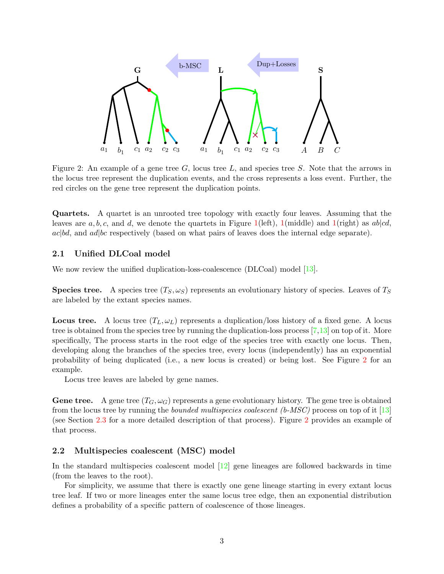<span id="page-2-0"></span>

Figure 2: An example of a gene tree  $G$ , locus tree  $L$ , and species tree  $S$ . Note that the arrows in the locus tree represent the duplication events, and the cross represents a loss event. Further, the red circles on the gene tree represent the duplication points.

Quartets. A quartet is an unrooted tree topology with exactly four leaves. Assuming that the leaves are a, b, c, and d, we denote the quartets in Figure [1\(](#page-1-0)left), 1(middle) and 1(right) as  $ab|cd$ ,  $ac|bd$ , and  $ad|bc$  respectively (based on what pairs of leaves does the internal edge separate).

## 2.1 Unified DLCoal model

We now review the unified duplication-loss-coalescence (DLCoal) model [\[13\]](#page-14-11).

**Species tree.** A species tree  $(T_S, \omega_S)$  represents an evolutionary history of species. Leaves of  $T_S$ are labeled by the extant species names.

**Locus tree.** A locus tree  $(T_L, \omega_L)$  represents a duplication/loss history of a fixed gene. A locus tree is obtained from the species tree by running the duplication-loss process  $[7,13]$  $[7,13]$  on top of it. More specifically, The process starts in the root edge of the species tree with exactly one locus. Then, developing along the branches of the species tree, every locus (independently) has an exponential probability of being duplicated (i.e., a new locus is created) or being lost. See Figure [2](#page-2-0) for an example.

Locus tree leaves are labeled by gene names.

**Gene tree.** A gene tree  $(T_G, \omega_G)$  represents a gene evolutionary history. The gene tree is obtained from the locus tree by running the *bounded multispecies coalescent (b-MSC)* process on top of it [\[13\]](#page-14-11) (see Section [2.3](#page-3-0) for a more detailed description of that process). Figure [2](#page-2-0) provides an example of that process.

## 2.2 Multispecies coalescent (MSC) model

In the standard multispecies coalescent model [\[12\]](#page-14-1) gene lineages are followed backwards in time (from the leaves to the root).

For simplicity, we assume that there is exactly one gene lineage starting in every extant locus tree leaf. If two or more lineages enter the same locus tree edge, then an exponential distribution defines a probability of a specific pattern of coalescence of those lineages.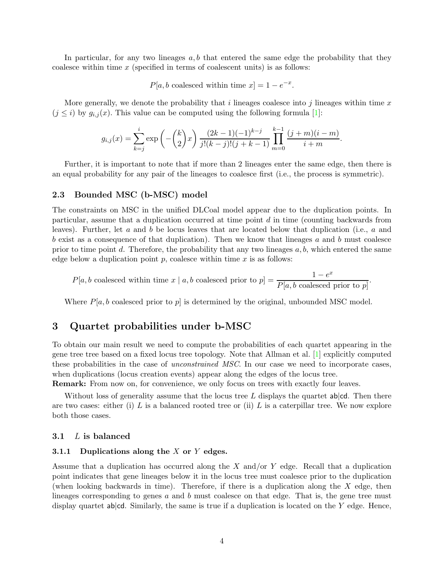In particular, for any two lineages  $a, b$  that entered the same edge the probability that they coalesce within time  $x$  (specified in terms of coalescent units) is as follows:

 $P[a, b \text{ coalesced within time } x] = 1 - e^{-x}.$ 

More generally, we denote the probability that  $i$  lineages coalesce into  $j$  lineages within time  $x$  $(j \leq i)$  by  $g_{i,j}(x)$ . This value can be computed using the following formula [\[1\]](#page-14-9):

$$
g_{i,j}(x) = \sum_{k=j}^{i} \exp\left(-\binom{k}{2}x\right) \frac{(2k-1)(-1)^{k-j}}{j!(k-j)!(j+k-1)} \prod_{m=0}^{k-1} \frac{(j+m)(i-m)}{i+m}.
$$

Further, it is important to note that if more than 2 lineages enter the same edge, then there is an equal probability for any pair of the lineages to coalesce first (i.e., the process is symmetric).

## <span id="page-3-0"></span>2.3 Bounded MSC (b-MSC) model

The constraints on MSC in the unified DLCoal model appear due to the duplication points. In particular, assume that a duplication occurred at time point d in time (counting backwards from leaves). Further, let a and b be locus leaves that are located below that duplication (i.e., a and b exist as a consequence of that duplication). Then we know that lineages a and b must coalesce prior to time point d. Therefore, the probability that any two lineages  $a, b$ , which entered the same edge below a duplication point  $p$ , coalesce within time  $x$  is as follows:

 $P[a, b \text{ coalesced within time } x \mid a, b \text{ coalesced prior to } p] = \frac{1 - e^x}{P[ a, b \text{ coalesced prior to } p]}$  $\overline{P[a, b \text{ coalesced prior to } p]}.$ 

Where  $P[a, b]$  coalesced prior to p is determined by the original, unbounded MSC model.

## <span id="page-3-2"></span>3 Quartet probabilities under b-MSC

To obtain our main result we need to compute the probabilities of each quartet appearing in the gene tree tree based on a fixed locus tree topology. Note that Allman et al. [\[1\]](#page-14-9) explicitly computed these probabilities in the case of *unconstrained MSC*. In our case we need to incorporate cases, when duplications (locus creation events) appear along the edges of the locus tree.

Remark: From now on, for convenience, we only focus on trees with exactly four leaves.

Without loss of generality assume that the locus tree L displays the quartet  $ab|cd$ . Then there are two cases: either (i)  $L$  is a balanced rooted tree or (ii)  $L$  is a caterpillar tree. We now explore both those cases.

### <span id="page-3-1"></span>3.1 L is balanced

## 3.1.1 Duplications along the  $X$  or  $Y$  edges.

Assume that a duplication has occurred along the  $X$  and/or  $Y$  edge. Recall that a duplication point indicates that gene lineages below it in the locus tree must coalesce prior to the duplication (when looking backwards in time). Therefore, if there is a duplication along the  $X$  edge, then lineages corresponding to genes  $a$  and  $b$  must coalesce on that edge. That is, the gene tree must display quartet  $ab|cd$ . Similarly, the same is true if a duplication is located on the Y edge. Hence,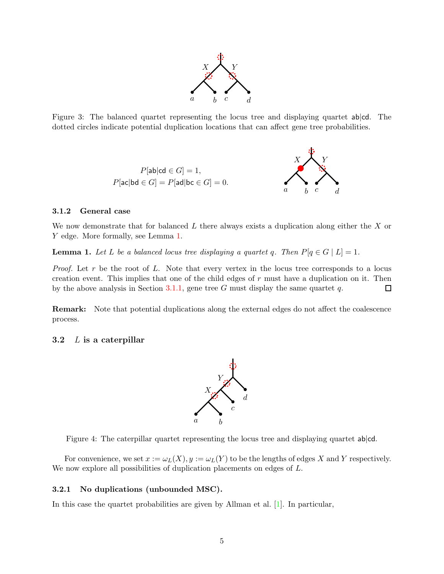

<span id="page-4-1"></span>Figure 3: The balanced quartet representing the locus tree and displaying quartet ab|cd. The dotted circles indicate potential duplication locations that can affect gene tree probabilities.



## 3.1.2 General case

We now demonstrate that for balanced  $L$  there always exists a duplication along either the  $X$  or Y edge. More formally, see Lemma [1.](#page-4-0)

<span id="page-4-0"></span>**Lemma 1.** Let L be a balanced locus tree displaying a quartet q. Then  $P[q \in G | L] = 1$ .

*Proof.* Let r be the root of L. Note that every vertex in the locus tree corresponds to a locus creation event. This implies that one of the child edges of  $r$  must have a duplication on it. Then by the above analysis in Section [3.1.1,](#page-3-1) gene tree  $G$  must display the same quartet  $q$ .  $\Box$ 

Remark: Note that potential duplications along the external edges do not affect the coalescence process.

### <span id="page-4-2"></span>3.2  $L$  is a caterpillar



Figure 4: The caterpillar quartet representing the locus tree and displaying quartet ab|cd.

For convenience, we set  $x := \omega_L(X)$ ,  $y := \omega_L(Y)$  to be the lengths of edges X and Y respectively. We now explore all possibilities of duplication placements on edges of  $L$ .

## 3.2.1 No duplications (unbounded MSC).

In this case the quartet probabilities are given by Allman et al. [\[1\]](#page-14-9). In particular,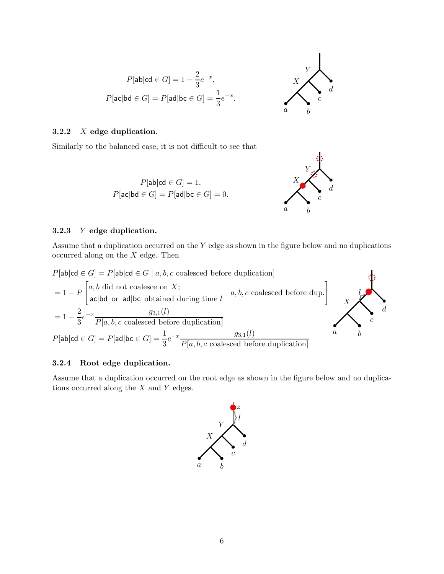

## <span id="page-5-0"></span>3.2.2 X edge duplication.

Similarly to the balanced case, it is not difficult to see that

 $P[\text{ab}|\text{cd} \in G] = 1$ ,  $P[\textsf{ac}|\textsf{bd} \in G] = P[\textsf{ad}|\textsf{bc} \in G] = 0.$ 



#### 3.2.3 Y edge duplication.

Assume that a duplication occurred on the Y edge as shown in the figure below and no duplications occurred along on the  $X$  edge. Then



#### 3.2.4 Root edge duplication.

Assume that a duplication occurred on the root edge as shown in the figure below and no duplications occurred along the X and Y edges.

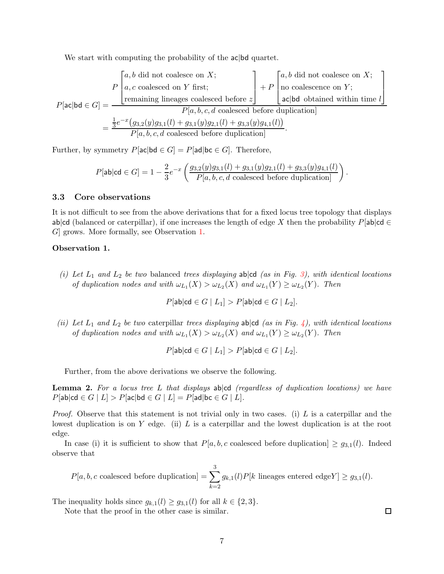We start with computing the probability of the  $ac|bd$  quartet.

$$
P[\text{ac}|\text{bd} \in G] = \frac{\begin{bmatrix} a, b \text{ did not coalesce on } X; \\ a, c \text{ coalesced on } Y \text{ first;} \\ \text{remaining lineages coalesced before } z \end{bmatrix} + P \begin{bmatrix} a, b \text{ did not coalesce on } X; \\ \text{no coalescence on } Y; \\ \text{ac}|\text{bd obtained within time } l \end{bmatrix}}{\begin{bmatrix} P[a, b, c, d \text{ coalesced before duplication]} \\ P[a, b, c, d \text{ coalesced before duplication]} \end{bmatrix}} = \frac{\frac{1}{3}e^{-x}(g_{3,2}(y)g_{3,1}(l) + g_{3,1}(y)g_{2,1}(l) + g_{3,3}(y)g_{4,1}(l))}{P[a, b, c, d \text{ coalesced before duplication]}}.
$$

Further, by symmetry  $P[\text{ac}|\text{bd} \in G] = P[\text{ad}|\text{bc} \in G]$ . Therefore,

$$
P[\text{ab}|\text{cd} \in G] = 1 - \frac{2}{3}e^{-x} \left( \frac{g_{3,2}(y)g_{3,1}(l) + g_{3,1}(y)g_{2,1}(l) + g_{3,3}(y)g_{4,1}(l)}{P[a,b,c,d \text{ coalesced before duplication}]} \right).
$$

## 3.3 Core observations

It is not difficult to see from the above derivations that for a fixed locus tree topology that displays ab|cd (balanced or caterpillar), if one increases the length of edge X then the probability  $P[\text{ab}|\text{cd} \in$ G] grows. More formally, see Observation [1.](#page-6-0)

#### <span id="page-6-0"></span>Observation 1.

 $(i)$  Let  $L_1$  and  $L_2$  be two balanced trees displaying ab  $|cd$  (as in Fig. [3\)](#page-4-1), with identical locations *of duplication nodes and with*  $\omega_{L_1}(X) > \omega_{L_2}(X)$  and  $\omega_{L_1}(Y) \ge \omega_{L_2}(Y)$ . Then

$$
P[\mathsf{ab}|\mathsf{cd} \in G \mid L_1] > P[\mathsf{ab}|\mathsf{cd} \in G \mid L_2].
$$

*(ii) Let*  $L_1$  *and*  $L_2$  *be two* caterpillar *trees displaying* ab  $|cd$  *(as in Fig. [4\)](#page-4-2), with identical locations of duplication nodes and with*  $\omega_{L_1}(X) > \omega_{L_2}(X)$  and  $\omega_{L_1}(Y) \ge \omega_{L_2}(Y)$ . Then

$$
P[{\sf ab}|{\sf cd} \in G \mid L_1] > P[{\sf ab}|{\sf cd} \in G \mid L_2].
$$

Further, from the above derivations we observe the following.

<span id="page-6-1"></span>Lemma 2. *For a locus tree* L *that displays* ab|cd *(regardless of duplication locations) we have*  $P[\textsf{ab}|\textsf{cd} \in G \mid L] > P[\textsf{ac}|\textsf{bd} \in G \mid L] = P[\textsf{ad}|\textsf{bc} \in G \mid L].$ 

*Proof.* Observe that this statement is not trivial only in two cases. (i) L is a caterpillar and the lowest duplication is on  $Y$  edge. (ii)  $L$  is a caterpillar and the lowest duplication is at the root edge.

In case (i) it is sufficient to show that  $P[a, b, c$  coalesced before duplication  $\geq g_{3,1}(l)$ . Indeed observe that

$$
P[a, b, c \text{ coalesced before duplication}] = \sum_{k=2}^{3} g_{k,1}(l) P[k \text{ lineages entered edge} Y] \ge g_{3,1}(l).
$$

The inequality holds since  $g_{k,1}(l) \ge g_{3,1}(l)$  for all  $k \in \{2,3\}.$ 

Note that the proof in the other case is similar.

 $\Box$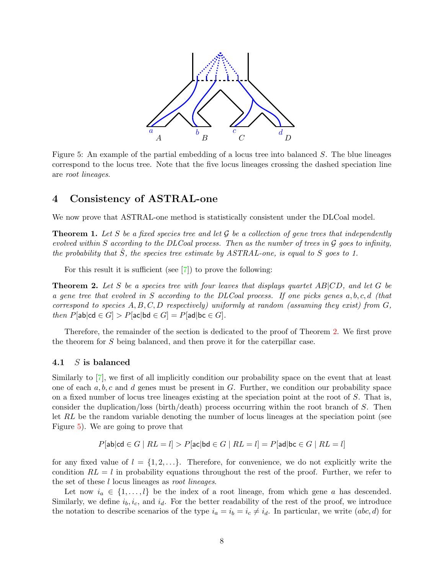<span id="page-7-1"></span>

Figure 5: An example of the partial embedding of a locus tree into balanced S. The blue lineages correspond to the locus tree. Note that the five locus lineages crossing the dashed speciation line are *root lineages*.

## 4 Consistency of ASTRAL-one

We now prove that ASTRAL-one method is statistically consistent under the DLCoal model.

Theorem 1. *Let* S *be a fixed species tree and let* G *be a collection of gene trees that independently evolved within* S *according to the DLCoal process. Then as the number of trees in* G *goes to infinity, the probability that* Sˆ*, the species tree estimate by ASTRAL-one, is equal to* S *goes to 1.*

For this result it is sufficient (see [\[7\]](#page-14-10)) to prove the following:

<span id="page-7-0"></span>Theorem 2. *Let* S *be a species tree with four leaves that displays quartet* AB|CD*, and let* G *be a gene tree that evolved in* S *according to the DLCoal process. If one picks genes* a, b, c, d *(that correspond to species* A, B, C, D *respectively) uniformly at random (assuming they exist) from* G*, then*  $P[\text{ab}|\text{cd} \in G] > P[\text{ac}|\text{bd} \in G] = P[\text{ad}|\text{bc} \in G]$ .

Therefore, the remainder of the section is dedicated to the proof of Theorem [2.](#page-7-0) We first prove the theorem for S being balanced, and then prove it for the caterpillar case.

#### 4.1 S is balanced

Similarly to [\[7\]](#page-14-10), we first of all implicitly condition our probability space on the event that at least one of each  $a, b, c$  and  $d$  genes must be present in  $G$ . Further, we condition our probability space on a fixed number of locus tree lineages existing at the speciation point at the root of S. That is, consider the duplication/loss (birth/death) process occurring within the root branch of S. Then let RL be the random variable denoting the number of locus lineages at the speciation point (see Figure [5\)](#page-7-1). We are going to prove that

$$
P[\text{ab}|\text{cd} \in G \mid RL = l] > P[\text{ac}|\text{bd} \in G \mid RL = l] = P[\text{ad}|\text{bc} \in G \mid RL = l]
$$

for any fixed value of  $l = \{1, 2, ...\}$ . Therefore, for convenience, we do not explicitly write the condition  $RL = l$  in probability equations throughout the rest of the proof. Further, we refer to the set of these l locus lineages as *root lineages*.

Let now  $i_a \in \{1, \ldots, l\}$  be the index of a root lineage, from which gene a has descended. Similarly, we define  $i_b, i_c$ , and  $i_d$ . For the better readability of the rest of the proof, we introduce the notation to describe scenarios of the type  $i_a = i_b = i_c \neq i_d$ . In particular, we write  $(abc, d)$  for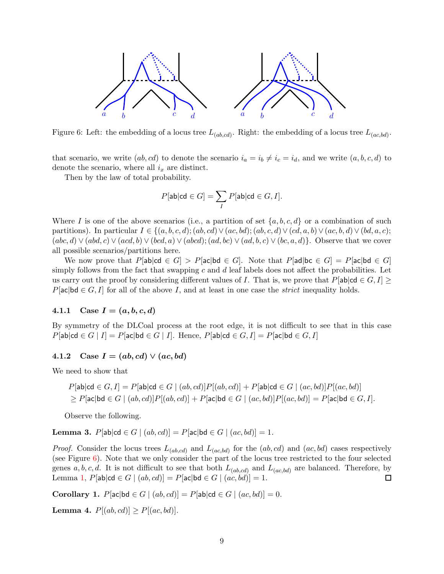<span id="page-8-0"></span>

Figure 6: Left: the embedding of a locus tree  $L_{(ab,cd)}$ . Right: the embedding of a locus tree  $L_{(ac,bd)}$ .

that scenario, we write  $(ab, cd)$  to denote the scenario  $i_a = i_b \neq i_c = i_d$ , and we write  $(a, b, c, d)$  to denote the scenario, where all  $i_x$  are distinct.

Then by the law of total probability.

$$
P[{\sf ab}|{\sf cd} \in G] = \sum_I P[{\sf ab}|{\sf cd} \in G, I].
$$

Where I is one of the above scenarios (i.e., a partition of set  $\{a, b, c, d\}$  or a combination of such partitions). In particular  $I \in \{(a, b, c, d); (ab, cd) \vee (ac, bd); (ab, c, d) \vee (cd, a, b) \vee (ac, b, d) \vee (bd, a, c);$  $(abc, d) \vee (abd, c) \vee (acd, b) \vee (bcd, a) \vee (abcd); (ad, bc) \vee (ad, b, c) \vee (bc, a, d)$ . Observe that we cover all possible scenarios/partitions here.

We now prove that  $P[\textsf{ab}|\textsf{cd} \in G] > P[\textsf{ac}|\textsf{bd} \in G]$ . Note that  $P[\textsf{ad}|\textsf{bc} \in G] = P[\textsf{ac}|\textsf{bd} \in G]$ simply follows from the fact that swapping c and  $d$  leaf labels does not affect the probabilities. Let us carry out the proof by considering different values of I. That is, we prove that  $P[\text{ab}|\text{cd} \in G, I] \geq$  $P[\text{ac}|\text{bd} \in G, I]$  for all of the above I, and at least in one case the *strict* inequality holds.

## 4.1.1 Case  $I = (a, b, c, d)$

By symmetry of the DLCoal process at the root edge, it is not difficult to see that in this case  $P[\text{ab}|\text{cd} \in G | I] = P[\text{ac}|\text{bd} \in G | I].$  Hence,  $P[\text{ab}|\text{cd} \in G, I] = P[\text{ac}|\text{bd} \in G, I]$ 

## 4.1.2 Case  $I = (ab, cd) \vee (ac, bd)$

We need to show that

$$
P[\mathsf{ab}|\mathsf{cd} \in G, I] = P[\mathsf{ab}|\mathsf{cd} \in G \mid (ab, cd)]P[(ab, cd)] + P[\mathsf{ab}|\mathsf{cd} \in G \mid (ac, bd)]P[(ac, bd)]
$$
  
\n
$$
\geq P[\mathsf{ac}|\mathsf{bd} \in G \mid (ab, cd)]P[(ab, cd)] + P[\mathsf{ac}|\mathsf{bd} \in G \mid (ac, bd)]P[(ac, bd)] = P[\mathsf{ac}|\mathsf{bd} \in G, I].
$$

Observe the following.

**Lemma 3.**  $P[ab|cd ∈ G | (ab, cd)] = P[ac|bd ∈ G | (ac, bd)] = 1.$ 

*Proof.* Consider the locus trees  $L_{(ab, cd)}$  and  $L_{(ac, bd)}$  for the  $(ab, cd)$  and  $(ac, bd)$  cases respectively (see Figure [6\)](#page-8-0). Note that we only consider the part of the locus tree restricted to the four selected genes a, b, c, d. It is not difficult to see that both  $L_{(ab,cd)}$  and  $L_{(ac,bd)}$  are balanced. Therefore, by Lemma [1,](#page-4-0)  $P[\textsf{ab}|\textsf{cd} \in G \mid (ab, cd)] = P[\textsf{ac}|\textsf{bd} \in G \mid (ac, bd)] = 1.$  $\Box$ 

Corollary 1. P[ac|bd ∈ G |  $(ab, cd)$ ] = P[ab|cd ∈ G |  $(ac, bd)$ ] = 0.

**Lemma 4.**  $P[(ab, cd)] \geq P[(ac, bd)].$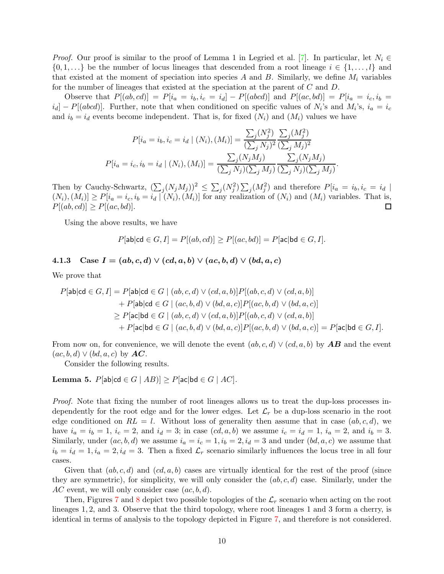*Proof.* Our proof is similar to the proof of Lemma 1 in Legried et al. [\[7\]](#page-14-10). In particular, let  $N_i \in$  $\{0, 1, \ldots\}$  be the number of locus lineages that descended from a root lineage  $i \in \{1, \ldots, l\}$  and that existed at the moment of speciation into species A and B. Similarly, we define  $M_i$  variables for the number of lineages that existed at the speciation at the parent of C and D.

Observe that  $P[(ab, cd)] = P[i_a = i_b, i_c = i_d] - P[(abcd)]$  and  $P[(ac, bd)] = P[i_a = i_c, i_b = i_d]$  $[i_d] - P[(abcd)]$ . Further, note that when conditioned on specific values of  $N_i$ 's and  $M_i$ 's,  $i_a = i_c$ and  $i_b = i_d$  events become independent. That is, for fixed  $(N_i)$  and  $(M_i)$  values we have

$$
P[i_a = i_b, i_c = i_d \mid (N_i), (M_i)] = \frac{\sum_j (N_j^2)}{(\sum_j N_j)^2} \frac{\sum_j (M_j^2)}{(\sum_j M_j)^2}
$$

$$
P[i_a = i_c, i_b = i_d \mid (N_i), (M_i)] = \frac{\sum_j (N_j M_j)}{(\sum_j N_j)(\sum_j M_j)} \frac{\sum_j (N_j M_j)}{(\sum_j N_j)(\sum_j M_j)}.
$$

Then by Cauchy-Schwartz,  $(\sum_j (N_j M_j))^2 \leq \sum_j (N_j^2) \sum_j (M_j^2)$  and therefore  $P[i_a = i_b, i_c = i_d]$  $(N_i),(M_i)] \ge P[i_a = i_c, i_b = i_d | (N_i),(M_i)]$  for any realization of  $(N_i)$  and  $(M_i)$  variables. That is,  $P[(ab, cd)] \geq P[(ac, bd)].$  $\Box$ 

Using the above results, we have

$$
P[\mathsf{ab}|\mathsf{cd} \in G, I] = P[(ab, cd)] \ge P[(ac, bd)] = P[\mathsf{ac}|\mathsf{bd} \in G, I].
$$

## <span id="page-9-1"></span>4.1.3 Case  $I = (ab, c, d) \vee (cd, a, b) \vee (ac, b, d) \vee (bd, a, c)$

We prove that

$$
P[\mathsf{ab}|\mathsf{cd} \in G, I] = P[\mathsf{ab}|\mathsf{cd} \in G \mid (ab, c, d) \vee (cd, a, b)] P[(ab, c, d) \vee (cd, a, b)]
$$
  
+ 
$$
P[\mathsf{ab}|\mathsf{cd} \in G \mid (ac, b, d) \vee (bd, a, c)] P[(ac, b, d) \vee (bd, a, c)]
$$
  

$$
\geq P[\mathsf{ac}|\mathsf{bd} \in G \mid (ab, c, d) \vee (cd, a, b)] P[(ab, c, d) \vee (cd, a, b)]
$$
  
+ 
$$
P[\mathsf{ac}|\mathsf{bd} \in G \mid (ac, b, d) \vee (bd, a, c)] P[(ac, b, d) \vee (bd, a, c)] = P[\mathsf{ac}|\mathsf{bd} \in G, I].
$$

From now on, for convenience, we will denote the event  $(ab, c, d) \vee (cd, a, b)$  by **AB** and the event  $(ac, b, d) \vee (bd, a, c)$  by  $AC$ .

Consider the following results.

<span id="page-9-0"></span>**Lemma 5.**  $P[ab|cd ∈ G | AB)] ≥ P[ac|bd ∈ G | AC]$ *.* 

*Proof.* Note that fixing the number of root lineages allows us to treat the dup-loss processes independently for the root edge and for the lower edges. Let  $\mathcal{L}_r$  be a dup-loss scenario in the root edge conditioned on  $RL = l$ . Without loss of generality then assume that in case  $(ab, c, d)$ , we have  $i_a = i_b = 1$ ,  $i_c = 2$ , and  $i_d = 3$ ; in case  $(cd, a, b)$  we assume  $i_c = i_d = 1$ ,  $i_a = 2$ , and  $i_b = 3$ . Similarly, under  $(ac, b, d)$  we assume  $i_a = i_c = 1, i_b = 2, i_d = 3$  and under  $(bd, a, c)$  we assume that  $i_b = i_d = 1, i_a = 2, i_d = 3$ . Then a fixed  $\mathcal{L}_r$  scenario similarly influences the locus tree in all four cases.

Given that  $(ab, c, d)$  and  $(cd, a, b)$  cases are virtually identical for the rest of the proof (since they are symmetric), for simplicity, we will only consider the  $(ab, c, d)$  case. Similarly, under the  $AC$  event, we will only consider case  $(ac, b, d)$ .

Then, Figures [7](#page-10-0) and [8](#page-10-1) depict two possible topologies of the  $\mathcal{L}_r$  scenario when acting on the root lineages 1, 2, and 3. Observe that the third topology, where root lineages 1 and 3 form a cherry, is identical in terms of analysis to the topology depicted in Figure [7,](#page-10-0) and therefore is not considered.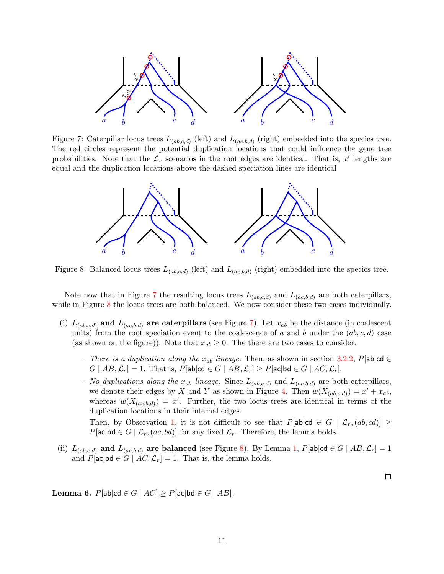<span id="page-10-0"></span>

<span id="page-10-1"></span>Figure 7: Caterpillar locus trees  $L_{(ab,c,d)}$  (left) and  $L_{(ac,b,d)}$  (right) embedded into the species tree. The red circles represent the potential duplication locations that could influence the gene tree probabilities. Note that the  $\mathcal{L}_r$  scenarios in the root edges are identical. That is, x' lengths are equal and the duplication locations above the dashed speciation lines are identical



Figure 8: Balanced locus trees  $L_{(ab,c,d)}$  (left) and  $L_{(ac,b,d)}$  (right) embedded into the species tree.

Note now that in Figure [7](#page-10-0) the resulting locus trees  $L_{(ab,c,d)}$  and  $L_{(ac,b,d)}$  are both caterpillars, while in Figure [8](#page-10-1) the locus trees are both balanced. We now consider these two cases individually.

- (i)  $L_{(ab,c,d)}$  and  $L_{(ac,b,d)}$  are caterpillars (see Figure [7\)](#page-10-0). Let  $x_{ab}$  be the distance (in coalescent units) from the root speciation event to the coalescence of a and b under the  $(ab, c, d)$  case (as shown on the figure)). Note that  $x_{ab} \geq 0$ . The there are two cases to consider.
	- $−$  *There is a duplication along the*  $x_{ab}$  *lineage.* Then, as shown in section [3.2.2,](#page-5-0) P[ab|cd ∈  $G | AB, \mathcal{L}_r] = 1$ . That is,  $P[\text{ab} | \text{cd} \in G | AB, \mathcal{L}_r] \ge P[\text{ac} | \text{bd} \in G | AC, \mathcal{L}_r]$ .

– *No duplications along the*  $x_{ab}$  *lineage.* Since  $L_{(ab,c,d)}$  and  $L_{(ac,b,d)}$  are both caterpillars, we denote their edges by X and Y as shown in Figure [4.](#page-4-2) Then  $w(X_{(ab,c,d)}) = x^{\prime} + x_{ab}$ , whereas  $w(X_{(ac,b,d)}) = x'$ . Further, the two locus trees are identical in terms of the duplication locations in their internal edges.

Then, by Observation [1,](#page-6-0) it is not difficult to see that  $P[\text{ab}|\text{cd} \in G \mid \mathcal{L}_r(a,b, cd)] \geq$  $P[\text{ac}|\text{bd} \in G \mid \mathcal{L}_r, (ac, bd)]$  for any fixed  $\mathcal{L}_r$ . Therefore, the lemma holds.

 $\Box$ 

(ii)  $L_{(ab,c,d)}$  and  $L_{(ac,b,d)}$  are balanced (see Figure [8\)](#page-10-1). By Lemma [1,](#page-4-0) P[ab|cd  $\in G \mid AB, \mathcal{L}_r] = 1$ and  $P[\textsf{ac}|\textsf{bd} \in G \mid AC, \mathcal{L}_r] = 1$ . That is, the lemma holds.

<span id="page-10-2"></span>Lemma 6. P[ab|cd ∈ G |  $AC$ ] ≥ P[ac|bd ∈ G |  $AB$ ].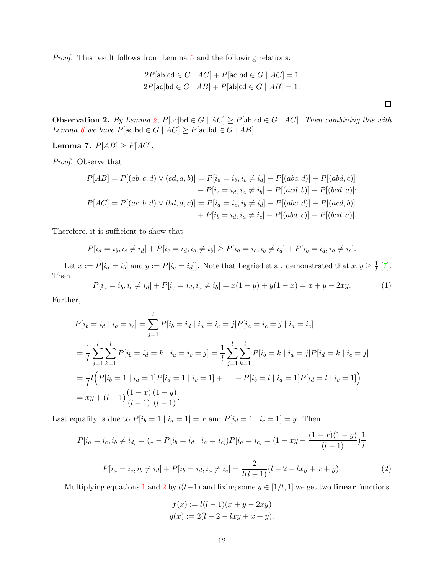*Proof.* This result follows from Lemma [5](#page-9-0) and the following relations:

$$
2P[\text{ab}|\text{cd} \in G \mid AC] + P[\text{ac}|\text{bd} \in G \mid AC] = 1
$$
  

$$
2P[\text{ac}|\text{bd} \in G \mid AB] + P[\text{ab}|\text{cd} \in G \mid AB] = 1.
$$

<span id="page-11-3"></span>Observation 2. *By Lemma [2,](#page-6-1) P*[ac|bd  $\in G \mid AC] \geq P$ [ab|cd  $\in G \mid AC$ ]*. Then combining this with Lemma* [6](#page-10-2) *we have*  $P[\text{ac}|\text{bd} \in G \mid AC] \geq P[\text{ac}|\text{bd} \in G \mid AB]$ 

<span id="page-11-2"></span>Lemma 7.  $P[AB] \ge P[AC]$ *.* 

*Proof.* Observe that

$$
P[AB] = P[(ab, c, d) \lor (cd, a, b)] = P[i_a = i_b, i_c \neq i_d] - P[(abc, d)] - P[(abd, c)]
$$
  
+ 
$$
P[i_c = i_d, i_a \neq i_b] - P[(acd, b)] - P[(bcd, a)];
$$
  

$$
P[AC] = P[(ac, b, d) \lor (bd, a, c)] = P[i_a = i_c, i_b \neq i_d] - P[(abc, d)] - P[(acd, b)]
$$
  
+ 
$$
P[i_b = i_d, i_a \neq i_c] - P[(abd, c)] - P[(bcd, a)].
$$

Therefore, it is sufficient to show that

$$
P[i_a = i_b, i_c \neq i_d] + P[i_c = i_d, i_a \neq i_b] \geq P[i_a = i_c, i_b \neq i_d] + P[i_b = i_d, i_a \neq i_c].
$$

Let  $x := P[i_a = i_b]$  and  $y := P[i_c = i_d]$ . Note that Legried et al. demonstrated that  $x, y \geq \frac{1}{l}$  [\[7\]](#page-14-10). Then

<span id="page-11-0"></span>
$$
P[i_a = i_b, i_c \neq i_d] + P[i_c = i_d, i_a \neq i_b] = x(1 - y) + y(1 - x) = x + y - 2xy.
$$
 (1)

Further,

$$
P[i_b = i_d | i_a = i_c] = \sum_{j=1}^{l} P[i_b = i_d | i_a = i_c = j] P[i_a = i_c = j | i_a = i_c]
$$
  
=  $\frac{1}{l} \sum_{j=1}^{l} \sum_{k=1}^{l} P[i_b = i_d = k | i_a = i_c = j] = \frac{1}{l} \sum_{j=1}^{l} \sum_{k=1}^{l} P[i_b = k | i_a = j] P[i_d = k | i_c = j]$   
=  $\frac{1}{l} l (P[i_b = 1 | i_a = 1] P[i_d = 1 | i_c = 1] + ... + P[i_b = l | i_a = 1] P[i_d = l | i_c = 1])$   
=  $xy + (l - 1) \frac{(1 - x)}{(l - 1)} \frac{(1 - y)}{(l - 1)}.$ 

Last equality is due to  $P[i_b = 1 | i_a = 1] = x$  and  $P[i_d = 1 | i_c = 1] = y$ . Then

<span id="page-11-1"></span>
$$
P[i_a = i_c, i_b \neq i_d] = (1 - P[i_b = i_d \mid i_a = i_c])P[i_a = i_c] = (1 - xy - \frac{(1 - x)(1 - y)}{(l - 1)}\frac{1}{l}
$$

$$
P[i_a = i_c, i_b \neq i_d] + P[i_b = i_d, i_a \neq i_c] = \frac{2}{l(l-1)}(l-2-lxy+x+y). \tag{2}
$$

Multiplying equations [1](#page-11-0) and [2](#page-11-1) by  $l(l-1)$  and fixing some  $y \in [1/l, 1]$  we get two linear functions.

$$
f(x) := l(l-1)(x + y - 2xy)
$$
  

$$
g(x) := 2(l - 2 - lxy + x + y).
$$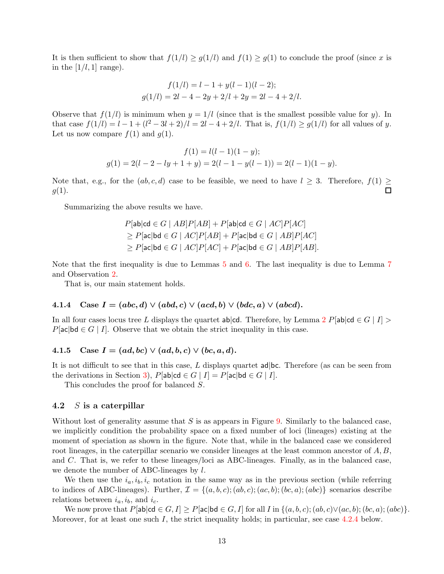It is then sufficient to show that  $f(1/l) \ge g(1/l)$  and  $f(1) \ge g(1)$  to conclude the proof (since x is in the  $[1/l, 1]$  range).

$$
f(1/l) = l - 1 + y(l - 1)(l - 2);
$$
  
\n
$$
g(1/l) = 2l - 4 - 2y + 2/l + 2y = 2l - 4 + 2/l.
$$

Observe that  $f(1/l)$  is minimum when  $y = 1/l$  (since that is the smallest possible value for y). In that case  $f(1/l) = l - 1 + (l^2 - 3l + 2)/l = 2l - 4 + 2/l$ . That is,  $f(1/l) \ge g(1/l)$  for all values of y. Let us now compare  $f(1)$  and  $g(1)$ .

$$
f(1) = l(l-1)(1-y);
$$
  
 
$$
g(1) = 2(l-2-ly+1+y) = 2(l-1-y(l-1)) = 2(l-1)(1-y).
$$

Note that, e.g., for the  $(ab, c, d)$  case to be feasible, we need to have  $l \geq 3$ . Therefore,  $f(1)$  $q(1)$ . П

Summarizing the above results we have.

$$
P[\mathsf{ab}|\mathsf{cd} \in G \mid AB]P[AB] + P[\mathsf{ab}|\mathsf{cd} \in G \mid AC]P[AC]
$$
  
\n
$$
\geq P[\mathsf{ac}|\mathsf{bd} \in G \mid AC]P[AB] + P[\mathsf{ac}|\mathsf{bd} \in G \mid AB]P[AC]
$$
  
\n
$$
\geq P[\mathsf{ac}|\mathsf{bd} \in G \mid AC]P[AC] + P[\mathsf{ac}|\mathsf{bd} \in G \mid AB]P[AB].
$$

Note that the first inequality is due to Lemmas [5](#page-9-0) and [6.](#page-10-2) The last inequality is due to Lemma [7](#page-11-2) and Observation [2.](#page-11-3)

That is, our main statement holds.

## 4.1.4 Case  $I = (abc, d) \vee (abd, c) \vee (acd, b) \vee (bdc, a) \vee (abcd).$

In all four cases locus tree L displays the quartet ab|cd. Therefore, by Lemma [2](#page-6-1) P[ab|cd  $\in G \mid I$ ] >  $P[\text{ac}|\text{bd} \in G | I].$  Observe that we obtain the strict inequality in this case.

## 4.1.5 Case  $I = (ad, bc) \vee (ad, b, c) \vee (bc, a, d)$ .

It is not difficult to see that in this case, L displays quartet  $ad|bc$ . Therefore (as can be seen from the derivations in Section [3\)](#page-3-2),  $P[\text{ab}|\text{cd} \in G | I] = P[\text{ac}|\text{bd} \in G | I].$ 

This concludes the proof for balanced S.

## 4.2  $S$  is a caterpillar

Without lost of generality assume that  $S$  is as appears in Figure [9.](#page-13-0) Similarly to the balanced case, we implicitly condition the probability space on a fixed number of loci (lineages) existing at the moment of speciation as shown in the figure. Note that, while in the balanced case we considered root lineages, in the caterpillar scenario we consider lineages at the least common ancestor of  $A, B$ , and C. That is, we refer to these lineages/loci as ABC-lineages. Finally, as in the balanced case, we denote the number of ABC-lineages by l.

We then use the  $i_a, i_b, i_c$  notation in the same way as in the previous section (while referring to indices of ABC-lineages). Further,  $\mathcal{I} = \{(a, b, c); (ab, c); (ac, b); (bc, a); (abc)\}\$  scenarios describe relations between  $i_a, i_b$ , and  $i_c$ .

We now prove that  $P[\text{ab}|\text{cd} \in G, I] \ge P[\text{ac}|\text{bd} \in G, I]$  for all  $I$  in  $\{(a, b, c); (ab, c) \lor (ac, b); (bc, a); (abc)\}.$ Moreover, for at least one such I, the strict inequality holds; in particular, see case [4.2.4](#page-14-13) below.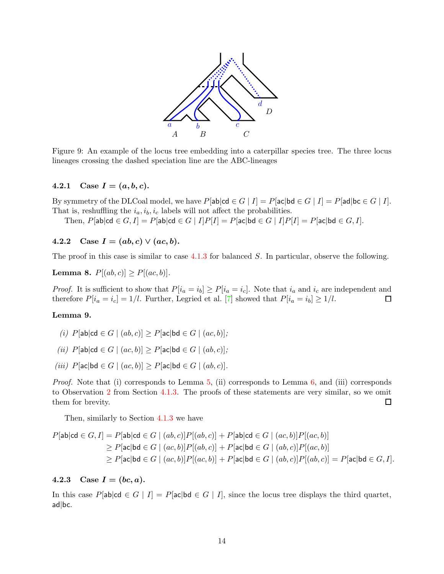<span id="page-13-0"></span>

Figure 9: An example of the locus tree embedding into a caterpillar species tree. The three locus lineages crossing the dashed speciation line are the ABC-lineages

## 4.2.1 Case  $I = (a, b, c)$ .

By symmetry of the DLCoal model, we have  $P[\text{ab}|\text{cd} \in G | I] = P[\text{ac}|\text{bd} \in G | I] = P[\text{ad}|\text{bc} \in G | I].$ That is, reshuffling the  $i_a$ ,  $i_b$ ,  $i_c$  labels will not affect the probabilities.

Then,  $P[\textsf{ab}|\textsf{cd} \in G, I] = P[\textsf{ab}|\textsf{cd} \in G \mid I]P[I] = P[\textsf{ac}|\textsf{bd} \in G \mid I]P[I] = P[\textsf{ac}|\textsf{bd} \in G, I].$ 

4.2.2 Case  $I = (ab, c) \vee (ac, b)$ .

The proof in this case is similar to case  $4.1.3$  for balanced S. In particular, observe the following.

**Lemma 8.**  $P[(ab, c)] \geq P[(ac, b)].$ 

*Proof.* It is sufficient to show that  $P[i_a = i_b] \ge P[i_a = i_c]$ . Note that  $i_a$  and  $i_c$  are independent and therefore  $P[i_a = i_c] = 1/l$ . Further, Legried et al. [\[7\]](#page-14-10) showed that  $P[i_a = i_b] \ge 1/l$ .  $\Box$ 

### Lemma 9.

- *(i)*  $P[ab|cd ∈ G | (ab, c)] > P[ac|bd ∈ G | (ac, b)]$ ;
- *(ii)*  $P[ab|cd ∈ G | (ac, b)] > P[ac|bd ∈ G | (ab, c)]$ ;
- *(iii)*  $P[ac|bd ∈ G | (ac, b)] ≥ P[ac|bd ∈ G | (ab, c)]$ *.*

*Proof.* Note that (i) corresponds to Lemma [5,](#page-9-0) (ii) corresponds to Lemma [6,](#page-10-2) and (iii) corresponds to Observation [2](#page-11-3) from Section [4.1.3.](#page-9-1) The proofs of these statements are very similar, so we omit them for brevity.  $\Box$ 

Then, similarly to Section [4.1.3](#page-9-1) we have

$$
P[\mathsf{ab}|\mathsf{cd} \in G, I] = P[\mathsf{ab}|\mathsf{cd} \in G \mid (ab, c)]P[(ab, c)] + P[\mathsf{ab}|\mathsf{cd} \in G \mid (ac, b)]P[(ac, b)]
$$
  
\n
$$
\geq P[\mathsf{ac}|\mathsf{bd} \in G \mid (ac, b)]P[(ab, c)] + P[\mathsf{ac}|\mathsf{bd} \in G \mid (ab, c)]P[(ac, b)]
$$
  
\n
$$
\geq P[\mathsf{ac}|\mathsf{bd} \in G \mid (ac, b)]P[(ac, b)] + P[\mathsf{ac}|\mathsf{bd} \in G \mid (ab, c)]P[(ab, c)] = P[\mathsf{ac}|\mathsf{bd} \in G, I].
$$

#### 4.2.3 Case  $I = (bc, a)$ .

In this case P[ab|cd  $\in G \mid I$ ] = P[ac|bd  $\in G \mid I$ ], since the locus tree displays the third quartet, ad|bc.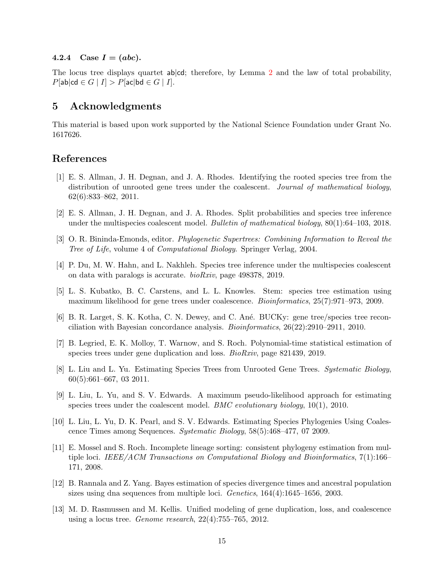#### <span id="page-14-13"></span>4.2.4 Case  $I = (abc)$ .

The locus tree displays quartet ab|cd; therefore, by Lemma [2](#page-6-1) and the law of total probability,  $P[\textsf{ab}|\textsf{cd} \in G \mid I] > P[\textsf{ac}|\textsf{bd} \in G \mid I].$ 

## 5 Acknowledgments

This material is based upon work supported by the National Science Foundation under Grant No. 1617626.

## <span id="page-14-9"></span>References

- [1] E. S. Allman, J. H. Degnan, and J. A. Rhodes. Identifying the rooted species tree from the distribution of unrooted gene trees under the coalescent. *Journal of mathematical biology*, 62(6):833–862, 2011.
- <span id="page-14-2"></span><span id="page-14-0"></span>[2] E. S. Allman, J. H. Degnan, and J. A. Rhodes. Split probabilities and species tree inference under the multispecies coalescent model. *Bulletin of mathematical biology*, 80(1):64–103, 2018.
- <span id="page-14-12"></span>[3] O. R. Bininda-Emonds, editor. *Phylogenetic Supertrees: Combining Information to Reveal the Tree of Life*, volume 4 of *Computational Biology*. Springer Verlag, 2004.
- <span id="page-14-5"></span>[4] P. Du, M. W. Hahn, and L. Nakhleh. Species tree inference under the multispecies coalescent on data with paralogs is accurate. *bioRxiv*, page 498378, 2019.
- [5] L. S. Kubatko, B. C. Carstens, and L. L. Knowles. Stem: species tree estimation using maximum likelihood for gene trees under coalescence. *Bioinformatics*, 25(7):971–973, 2009.
- <span id="page-14-7"></span>[6] B. R. Larget, S. K. Kotha, C. N. Dewey, and C. An´e. BUCKy: gene tree/species tree reconciliation with Bayesian concordance analysis. *Bioinformatics*, 26(22):2910–2911, 2010.
- <span id="page-14-10"></span><span id="page-14-3"></span>[7] B. Legried, E. K. Molloy, T. Warnow, and S. Roch. Polynomial-time statistical estimation of species trees under gene duplication and loss. *BioRxiv*, page 821439, 2019.
- [8] L. Liu and L. Yu. Estimating Species Trees from Unrooted Gene Trees. *Systematic Biology*, 60(5):661–667, 03 2011.
- <span id="page-14-6"></span>[9] L. Liu, L. Yu, and S. V. Edwards. A maximum pseudo-likelihood approach for estimating species trees under the coalescent model. *BMC evolutionary biology*, 10(1), 2010.
- <span id="page-14-4"></span>[10] L. Liu, L. Yu, D. K. Pearl, and S. V. Edwards. Estimating Species Phylogenies Using Coalescence Times among Sequences. *Systematic Biology*, 58(5):468–477, 07 2009.
- <span id="page-14-8"></span>[11] E. Mossel and S. Roch. Incomplete lineage sorting: consistent phylogeny estimation from multiple loci. *IEEE/ACM Transactions on Computational Biology and Bioinformatics*, 7(1):166– 171, 2008.
- <span id="page-14-1"></span>[12] B. Rannala and Z. Yang. Bayes estimation of species divergence times and ancestral population sizes using dna sequences from multiple loci. *Genetics*, 164(4):1645–1656, 2003.
- <span id="page-14-11"></span>[13] M. D. Rasmussen and M. Kellis. Unified modeling of gene duplication, loss, and coalescence using a locus tree. *Genome research*, 22(4):755–765, 2012.